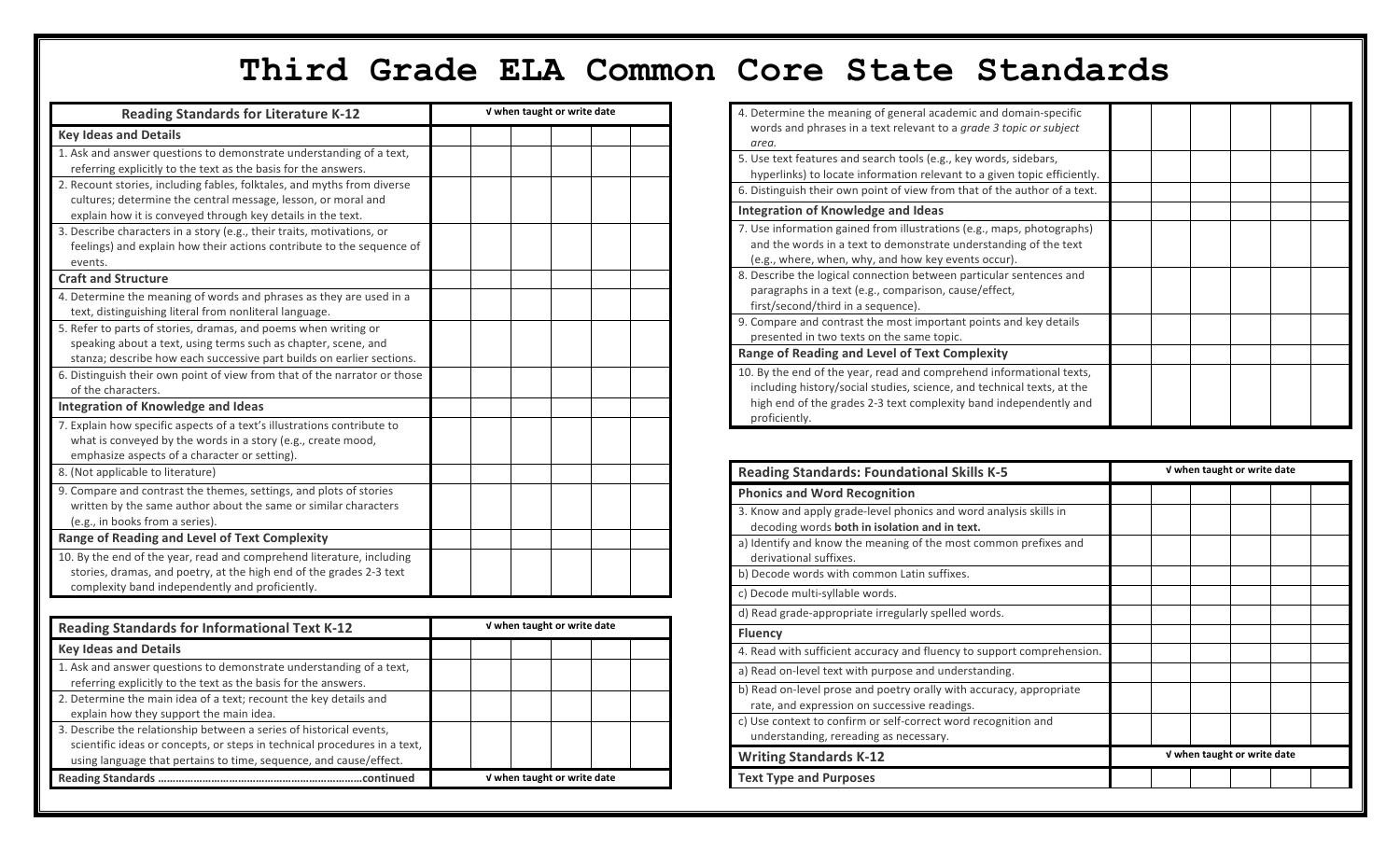## **Third Grade ELA Common Core State Standards**

| <b>Reading Standards for Literature K-12</b>                              | V when taught or write date |                             |  |  |  |  |
|---------------------------------------------------------------------------|-----------------------------|-----------------------------|--|--|--|--|
| <b>Key Ideas and Details</b>                                              |                             |                             |  |  |  |  |
| 1. Ask and answer questions to demonstrate understanding of a text,       |                             |                             |  |  |  |  |
| referring explicitly to the text as the basis for the answers.            |                             |                             |  |  |  |  |
| 2. Recount stories, including fables, folktales, and myths from diverse   |                             |                             |  |  |  |  |
| cultures; determine the central message, lesson, or moral and             |                             |                             |  |  |  |  |
| explain how it is conveyed through key details in the text.               |                             |                             |  |  |  |  |
| 3. Describe characters in a story (e.g., their traits, motivations, or    |                             |                             |  |  |  |  |
| feelings) and explain how their actions contribute to the sequence of     |                             |                             |  |  |  |  |
| events.                                                                   |                             |                             |  |  |  |  |
| <b>Craft and Structure</b>                                                |                             |                             |  |  |  |  |
| 4. Determine the meaning of words and phrases as they are used in a       |                             |                             |  |  |  |  |
| text, distinguishing literal from nonliteral language.                    |                             |                             |  |  |  |  |
| 5. Refer to parts of stories, dramas, and poems when writing or           |                             |                             |  |  |  |  |
| speaking about a text, using terms such as chapter, scene, and            |                             |                             |  |  |  |  |
| stanza; describe how each successive part builds on earlier sections.     |                             |                             |  |  |  |  |
| 6. Distinguish their own point of view from that of the narrator or those |                             |                             |  |  |  |  |
| of the characters.                                                        |                             |                             |  |  |  |  |
| <b>Integration of Knowledge and Ideas</b>                                 |                             |                             |  |  |  |  |
| 7. Explain how specific aspects of a text's illustrations contribute to   |                             |                             |  |  |  |  |
| what is conveyed by the words in a story (e.g., create mood,              |                             |                             |  |  |  |  |
| emphasize aspects of a character or setting).                             |                             |                             |  |  |  |  |
| 8. (Not applicable to literature)                                         |                             |                             |  |  |  |  |
| 9. Compare and contrast the themes, settings, and plots of stories        |                             |                             |  |  |  |  |
| written by the same author about the same or similar characters           |                             |                             |  |  |  |  |
| (e.g., in books from a series).                                           |                             |                             |  |  |  |  |
| <b>Range of Reading and Level of Text Complexity</b>                      |                             |                             |  |  |  |  |
| 10. By the end of the year, read and comprehend literature, including     |                             |                             |  |  |  |  |
| stories, dramas, and poetry, at the high end of the grades 2-3 text       |                             |                             |  |  |  |  |
| complexity band independently and proficiently.                           |                             |                             |  |  |  |  |
|                                                                           |                             |                             |  |  |  |  |
| <b>Reading Standards for Informational Text K-12</b>                      |                             | V when taught or write date |  |  |  |  |
| <b>Key Ideas and Details</b>                                              |                             |                             |  |  |  |  |
| 1. Ask and answer questions to demonstrate understanding of a text,       |                             |                             |  |  |  |  |
| referring explicitly to the text as the basis for the answers.            |                             |                             |  |  |  |  |

2. Determine the main idea of a text; recount the key details and

3. Describe the relationship between a series of historical events,

scientific ideas or concepts, or steps in technical procedures in a text, using language that pertains to time, sequence, and cause/effect.

**Reading Standards ……………………………………………………………continued √ when taught or write date**

explain how they support the main idea.

| 4. Determine the meaning of general academic and domain-specific<br>words and phrases in a text relevant to a grade 3 topic or subject<br>area.                                                                                      |  |  |  |
|--------------------------------------------------------------------------------------------------------------------------------------------------------------------------------------------------------------------------------------|--|--|--|
| 5. Use text features and search tools (e.g., key words, sidebars,<br>hyperlinks) to locate information relevant to a given topic efficiently.                                                                                        |  |  |  |
| 6. Distinguish their own point of view from that of the author of a text.                                                                                                                                                            |  |  |  |
| Integration of Knowledge and Ideas                                                                                                                                                                                                   |  |  |  |
| 7. Use information gained from illustrations (e.g., maps, photographs)<br>and the words in a text to demonstrate understanding of the text<br>(e.g., where, when, why, and how key events occur).                                    |  |  |  |
| 8. Describe the logical connection between particular sentences and<br>paragraphs in a text (e.g., comparison, cause/effect,<br>first/second/third in a sequence).                                                                   |  |  |  |
| 9. Compare and contrast the most important points and key details<br>presented in two texts on the same topic.                                                                                                                       |  |  |  |
| <b>Range of Reading and Level of Text Complexity</b>                                                                                                                                                                                 |  |  |  |
| 10. By the end of the year, read and comprehend informational texts,<br>including history/social studies, science, and technical texts, at the<br>high end of the grades 2-3 text complexity band independently and<br>proficiently. |  |  |  |

| <b>Reading Standards: Foundational Skills K-5</b>                                                                   | V when taught or write date |  |  |  |  |
|---------------------------------------------------------------------------------------------------------------------|-----------------------------|--|--|--|--|
| <b>Phonics and Word Recognition</b>                                                                                 |                             |  |  |  |  |
| 3. Know and apply grade-level phonics and word analysis skills in<br>decoding words both in isolation and in text.  |                             |  |  |  |  |
| a) Identify and know the meaning of the most common prefixes and<br>derivational suffixes.                          |                             |  |  |  |  |
| b) Decode words with common Latin suffixes.                                                                         |                             |  |  |  |  |
| c) Decode multi-syllable words.                                                                                     |                             |  |  |  |  |
| d) Read grade-appropriate irregularly spelled words.                                                                |                             |  |  |  |  |
| <b>Fluency</b>                                                                                                      |                             |  |  |  |  |
| 4. Read with sufficient accuracy and fluency to support comprehension.                                              |                             |  |  |  |  |
| a) Read on-level text with purpose and understanding.                                                               |                             |  |  |  |  |
| b) Read on-level prose and poetry orally with accuracy, appropriate<br>rate, and expression on successive readings. |                             |  |  |  |  |
| c) Use context to confirm or self-correct word recognition and<br>understanding, rereading as necessary.            |                             |  |  |  |  |
| <b>Writing Standards K-12</b>                                                                                       | V when taught or write date |  |  |  |  |
| <b>Text Type and Purposes</b>                                                                                       |                             |  |  |  |  |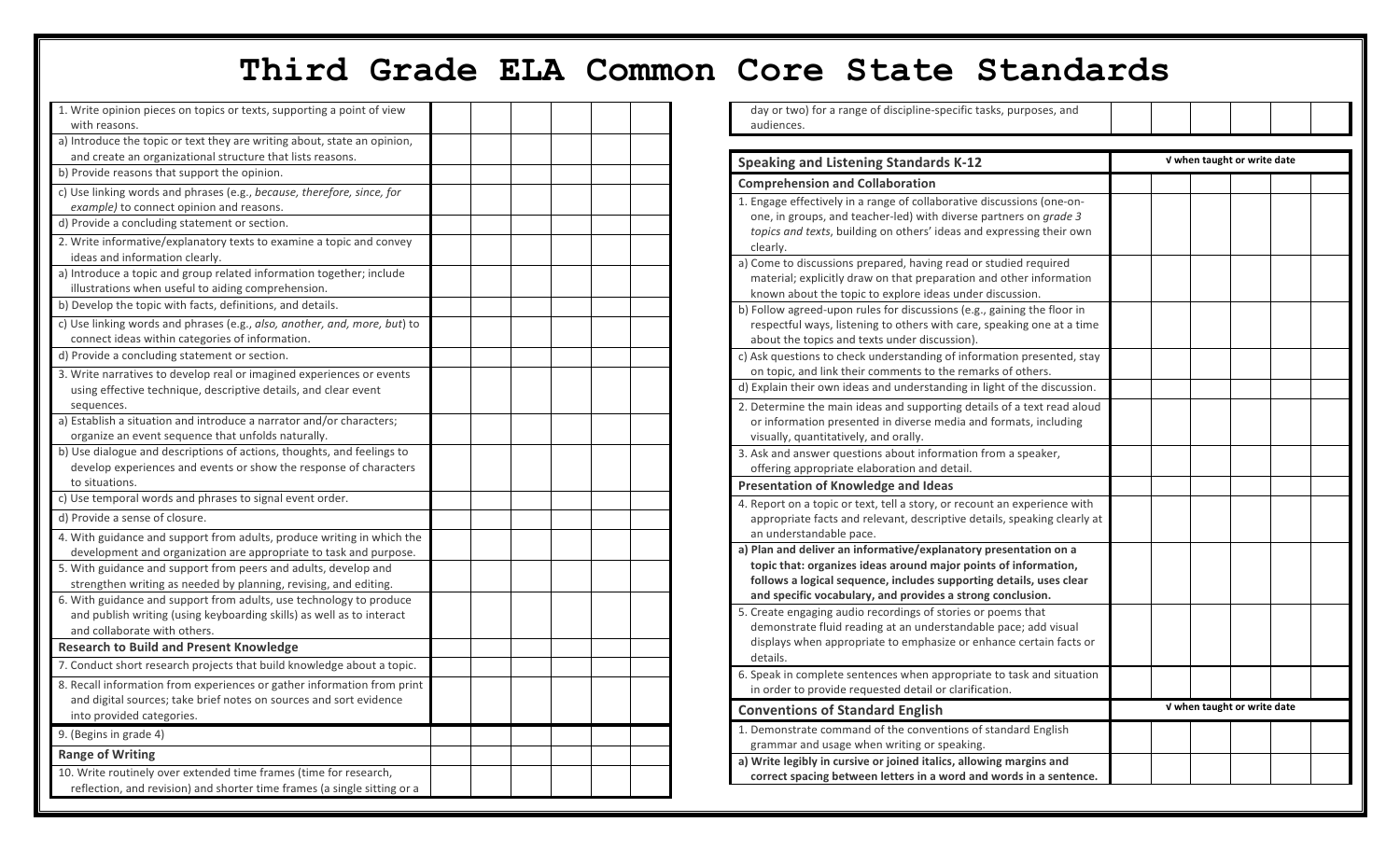## **Third Grade ELA Common Core State Standards**

| 1. Write opinion pieces on topics or texts, supporting a point of view                    |  |  |  |
|-------------------------------------------------------------------------------------------|--|--|--|
| with reasons.<br>a) Introduce the topic or text they are writing about, state an opinion, |  |  |  |
| and create an organizational structure that lists reasons.                                |  |  |  |
| b) Provide reasons that support the opinion.                                              |  |  |  |
| c) Use linking words and phrases (e.g., because, therefore, since, for                    |  |  |  |
| example) to connect opinion and reasons.                                                  |  |  |  |
| d) Provide a concluding statement or section.                                             |  |  |  |
| 2. Write informative/explanatory texts to examine a topic and convey                      |  |  |  |
| ideas and information clearly.                                                            |  |  |  |
| a) Introduce a topic and group related information together; include                      |  |  |  |
| illustrations when useful to aiding comprehension.                                        |  |  |  |
| b) Develop the topic with facts, definitions, and details.                                |  |  |  |
| c) Use linking words and phrases (e.g., also, another, and, more, but) to                 |  |  |  |
| connect ideas within categories of information.                                           |  |  |  |
| d) Provide a concluding statement or section.                                             |  |  |  |
| 3. Write narratives to develop real or imagined experiences or events                     |  |  |  |
| using effective technique, descriptive details, and clear event                           |  |  |  |
| sequences.                                                                                |  |  |  |
| a) Establish a situation and introduce a narrator and/or characters;                      |  |  |  |
| organize an event sequence that unfolds naturally.                                        |  |  |  |
| b) Use dialogue and descriptions of actions, thoughts, and feelings to                    |  |  |  |
| develop experiences and events or show the response of characters                         |  |  |  |
| to situations.                                                                            |  |  |  |
| c) Use temporal words and phrases to signal event order.                                  |  |  |  |
| d) Provide a sense of closure.                                                            |  |  |  |
| 4. With guidance and support from adults, produce writing in which the                    |  |  |  |
| development and organization are appropriate to task and purpose.                         |  |  |  |
| 5. With guidance and support from peers and adults, develop and                           |  |  |  |
| strengthen writing as needed by planning, revising, and editing.                          |  |  |  |
| 6. With guidance and support from adults, use technology to produce                       |  |  |  |
| and publish writing (using keyboarding skills) as well as to interact                     |  |  |  |
| and collaborate with others.                                                              |  |  |  |
| <b>Research to Build and Present Knowledge</b>                                            |  |  |  |
| 7. Conduct short research projects that build knowledge about a topic.                    |  |  |  |
| 8. Recall information from experiences or gather information from print                   |  |  |  |
| and digital sources; take brief notes on sources and sort evidence                        |  |  |  |
| into provided categories.                                                                 |  |  |  |
| 9. (Begins in grade 4)                                                                    |  |  |  |
| <b>Range of Writing</b>                                                                   |  |  |  |
| 10. Write routinely over extended time frames (time for research,                         |  |  |  |
| reflection, and revision) and shorter time frames (a single sitting or a                  |  |  |  |
|                                                                                           |  |  |  |

| day or two) for a range of discipline-specific tasks, purposes, and                                                                     |                             |  |  |  |  |
|-----------------------------------------------------------------------------------------------------------------------------------------|-----------------------------|--|--|--|--|
| audiences.                                                                                                                              |                             |  |  |  |  |
|                                                                                                                                         |                             |  |  |  |  |
| <b>Speaking and Listening Standards K-12</b>                                                                                            | V when taught or write date |  |  |  |  |
| <b>Comprehension and Collaboration</b>                                                                                                  |                             |  |  |  |  |
| 1. Engage effectively in a range of collaborative discussions (one-on-                                                                  |                             |  |  |  |  |
| one, in groups, and teacher-led) with diverse partners on grade 3                                                                       |                             |  |  |  |  |
| topics and texts, building on others' ideas and expressing their own                                                                    |                             |  |  |  |  |
| clearly.                                                                                                                                |                             |  |  |  |  |
| a) Come to discussions prepared, having read or studied required                                                                        |                             |  |  |  |  |
| material; explicitly draw on that preparation and other information                                                                     |                             |  |  |  |  |
| known about the topic to explore ideas under discussion.                                                                                |                             |  |  |  |  |
| b) Follow agreed-upon rules for discussions (e.g., gaining the floor in                                                                 |                             |  |  |  |  |
| respectful ways, listening to others with care, speaking one at a time                                                                  |                             |  |  |  |  |
| about the topics and texts under discussion).                                                                                           |                             |  |  |  |  |
| c) Ask questions to check understanding of information presented, stay                                                                  |                             |  |  |  |  |
| on topic, and link their comments to the remarks of others.<br>d) Explain their own ideas and understanding in light of the discussion. |                             |  |  |  |  |
|                                                                                                                                         |                             |  |  |  |  |
| 2. Determine the main ideas and supporting details of a text read aloud                                                                 |                             |  |  |  |  |
| or information presented in diverse media and formats, including                                                                        |                             |  |  |  |  |
| visually, quantitatively, and orally.                                                                                                   |                             |  |  |  |  |
| 3. Ask and answer questions about information from a speaker,                                                                           |                             |  |  |  |  |
| offering appropriate elaboration and detail.                                                                                            |                             |  |  |  |  |
| <b>Presentation of Knowledge and Ideas</b>                                                                                              |                             |  |  |  |  |
| 4. Report on a topic or text, tell a story, or recount an experience with                                                               |                             |  |  |  |  |
| appropriate facts and relevant, descriptive details, speaking clearly at                                                                |                             |  |  |  |  |
| an understandable pace.<br>a) Plan and deliver an informative/explanatory presentation on a                                             |                             |  |  |  |  |
| topic that: organizes ideas around major points of information,                                                                         |                             |  |  |  |  |
| follows a logical sequence, includes supporting details, uses clear                                                                     |                             |  |  |  |  |
| and specific vocabulary, and provides a strong conclusion.                                                                              |                             |  |  |  |  |
| 5. Create engaging audio recordings of stories or poems that                                                                            |                             |  |  |  |  |
| demonstrate fluid reading at an understandable pace; add visual                                                                         |                             |  |  |  |  |
| displays when appropriate to emphasize or enhance certain facts or                                                                      |                             |  |  |  |  |
| details.                                                                                                                                |                             |  |  |  |  |
| 6. Speak in complete sentences when appropriate to task and situation                                                                   |                             |  |  |  |  |
| in order to provide requested detail or clarification.                                                                                  |                             |  |  |  |  |
| <b>Conventions of Standard English</b>                                                                                                  | V when taught or write date |  |  |  |  |
| 1. Demonstrate command of the conventions of standard English                                                                           |                             |  |  |  |  |
| grammar and usage when writing or speaking.                                                                                             |                             |  |  |  |  |
| a) Write legibly in cursive or joined italics, allowing margins and                                                                     |                             |  |  |  |  |
| correct spacing between letters in a word and words in a sentence.                                                                      |                             |  |  |  |  |